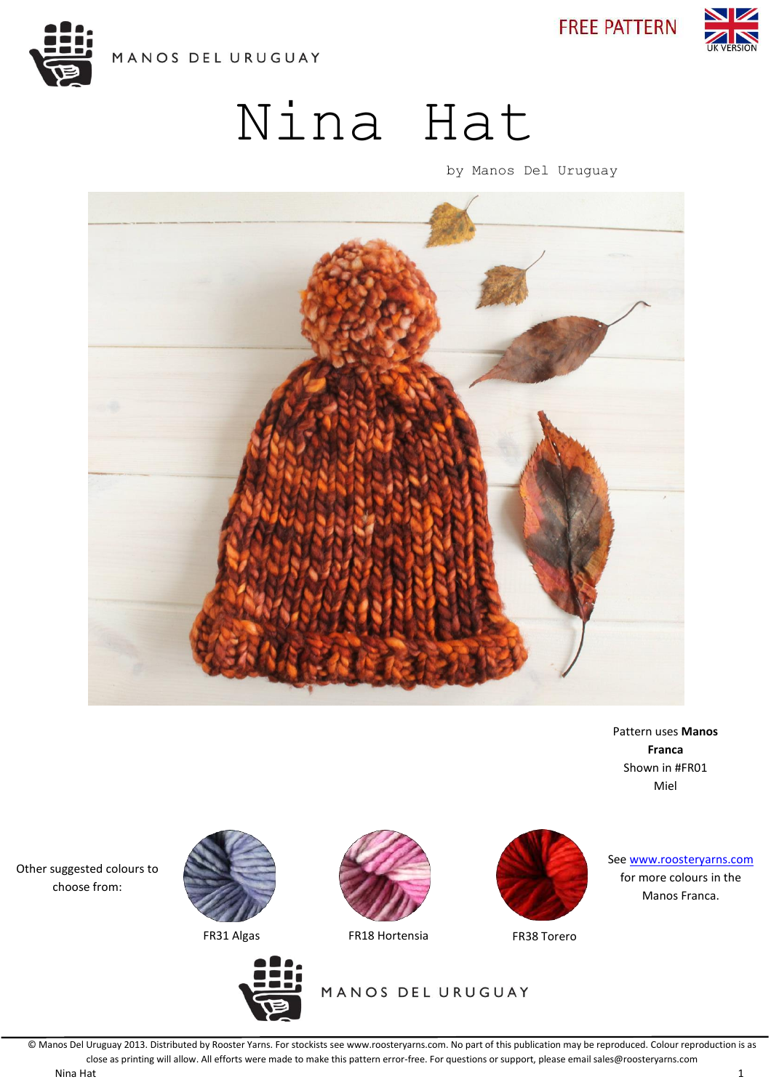

**FREE PATTERN** 



# Nina Hat

by Manos Del Uruguay



Pattern uses **Manos Franca** Shown in #FR01 Miel

Other suggested colours to choose from:







FR31 Algas FR18 Hortensia FR38 Torero

MANOS DEL URUGUAY



See [www.roosteryarns.com](http://www.roosteryarns.com/) for more colours in the Manos Franca.

© Manos Del Uruguay 2013. Distributed by Rooster Yarns. For stockists see www.roosteryarns.com. No part of this publication may be reproduced. Colour reproduction is as close as printing will allow. All efforts were made to make this pattern error-free. For questions or support, please email sales@roosteryarns.com Nina Hat 1